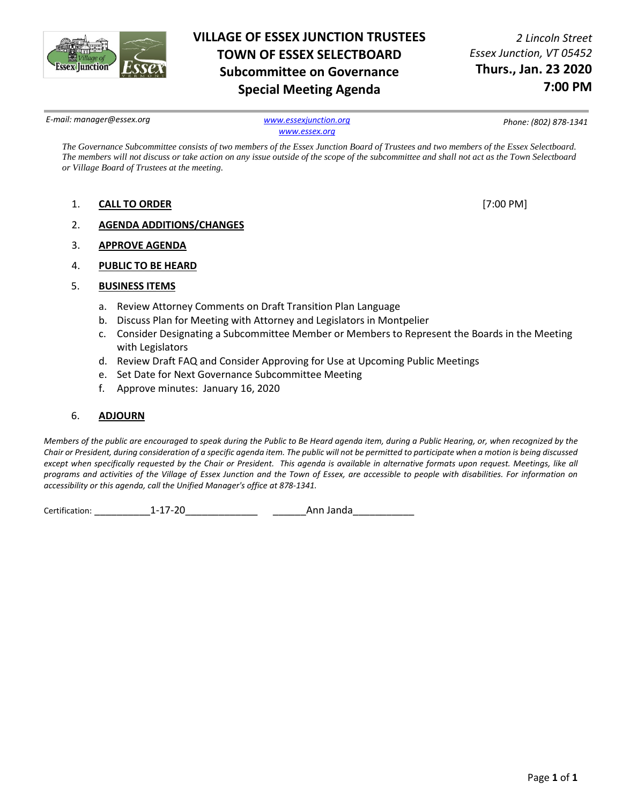

# **VILLAGE OF ESSEX JUNCTION TRUSTEES TOWN OF ESSEX SELECTBOARD Subcommittee on Governance Special Meeting Agenda**

*2 Lincoln Street Essex Junction, VT 05452* **Thurs., Jan. 23 2020 7:00 PM**

*E-mail: manager@essex.org [www.essexjunction.org](http://www.essexjunction.org/)*

*[www.essex.org](http://www.essex.org/)*

*Phone: (802) 878-1341*

*The Governance Subcommittee consists of two members of the Essex Junction Board of Trustees and two members of the Essex Selectboard. The members will not discuss or take action on any issue outside of the scope of the subcommittee and shall not act as the Town Selectboard or Village Board of Trustees at the meeting.* 

- 1. **CALL TO ORDER** [7:00 PM]
- 2. **AGENDA ADDITIONS/CHANGES**
- 3. **APPROVE AGENDA**
- 4. **PUBLIC TO BE HEARD**
- 5. **BUSINESS ITEMS**
	- a. Review Attorney Comments on Draft Transition Plan Language
	- b. Discuss Plan for Meeting with Attorney and Legislators in Montpelier
	- c. Consider Designating a Subcommittee Member or Members to Represent the Boards in the Meeting with Legislators
	- d. Review Draft FAQ and Consider Approving for Use at Upcoming Public Meetings
	- e. Set Date for Next Governance Subcommittee Meeting
	- f. Approve minutes: January 16, 2020

## 6. **ADJOURN**

*Members of the public are encouraged to speak during the Public to Be Heard agenda item, during a Public Hearing, or, when recognized by the Chair or President, during consideration of a specific agenda item. The public will not be permitted to participate when a motion is being discussed except when specifically requested by the Chair or President. This agenda is available in alternative formats upon request. Meetings, like all programs and activities of the Village of Essex Junction and the Town of Essex, are accessible to people with disabilities. For information on accessibility or this agenda, call the Unified Manager's office at 878-1341.*

Certification: \_\_\_\_\_\_\_\_\_\_1-17-20\_\_\_\_\_\_\_\_\_\_\_\_\_ \_\_\_\_\_\_Ann Janda\_\_\_\_\_\_\_\_\_\_\_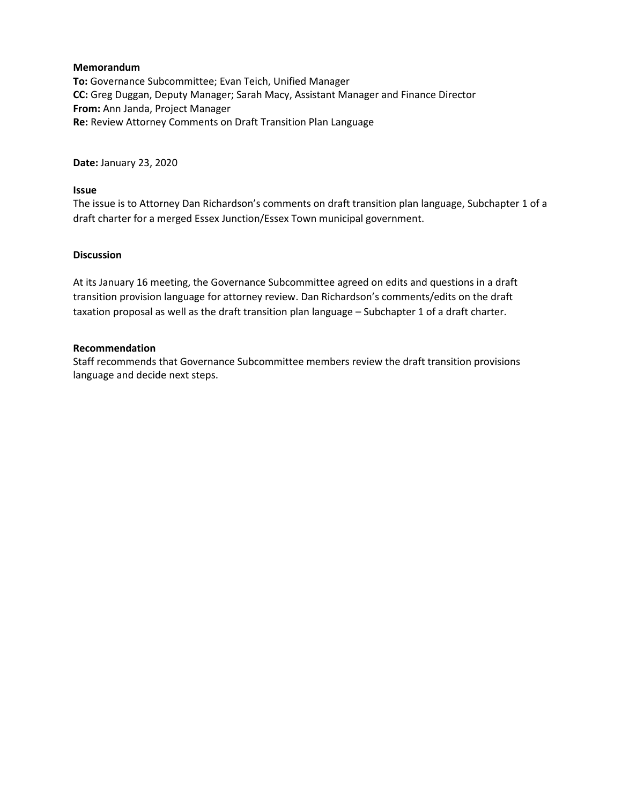**To:** Governance Subcommittee; Evan Teich, Unified Manager **CC:** Greg Duggan, Deputy Manager; Sarah Macy, Assistant Manager and Finance Director **From:** Ann Janda, Project Manager **Re:** Review Attorney Comments on Draft Transition Plan Language

**Date:** January 23, 2020

## **Issue**

The issue is to Attorney Dan Richardson's comments on draft transition plan language, Subchapter 1 of a draft charter for a merged Essex Junction/Essex Town municipal government.

## **Discussion**

At its January 16 meeting, the Governance Subcommittee agreed on edits and questions in a draft transition provision language for attorney review. Dan Richardson's comments/edits on the draft taxation proposal as well as the draft transition plan language – Subchapter 1 of a draft charter.

## **Recommendation**

Staff recommends that Governance Subcommittee members review the draft transition provisions language and decide next steps.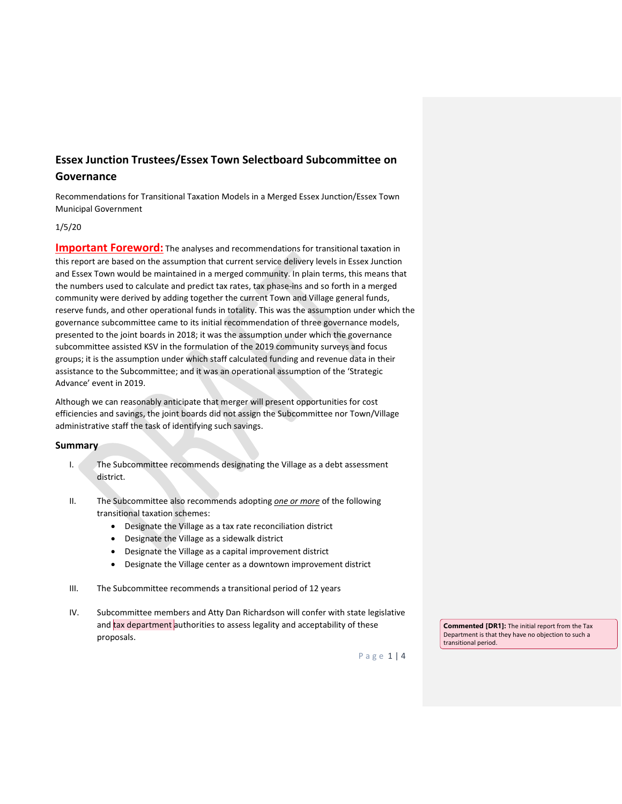# **Essex Junction Trustees/Essex Town Selectboard Subcommittee on Governance**

Recommendations for Transitional Taxation Models in a Merged Essex Junction/Essex Town Municipal Government

#### 1/5/20

**Important Foreword:** The analyses and recommendations for transitional taxation in this report are based on the assumption that current service delivery levels in Essex Junction and Essex Town would be maintained in a merged community. In plain terms, this means that the numbers used to calculate and predict tax rates, tax phase-ins and so forth in a merged community were derived by adding together the current Town and Village general funds, reserve funds, and other operational funds in totality. This was the assumption under which the governance subcommittee came to its initial recommendation of three governance models, presented to the joint boards in 2018; it was the assumption under which the governance subcommittee assisted KSV in the formulation of the 2019 community surveys and focus groups; it is the assumption under which staff calculated funding and revenue data in their assistance to the Subcommittee; and it was an operational assumption of the 'Strategic Advance' event in 2019.

Although we can reasonably anticipate that merger will present opportunities for cost efficiencies and savings, the joint boards did not assign the Subcommittee nor Town/Village administrative staff the task of identifying such savings.

#### **Summary**

- I. The Subcommittee recommends designating the Village as a debt assessment district.
- II. The Subcommittee also recommends adopting *one or more* of the following transitional taxation schemes:
	- Designate the Village as a tax rate reconciliation district
	- Designate the Village as a sidewalk district
	- Designate the Village as a capital improvement district
	- Designate the Village center as a downtown improvement district
- III. The Subcommittee recommends a transitional period of 12 years
- IV. Subcommittee members and Atty Dan Richardson will confer with state legislative and tax department authorities to assess legality and acceptability of these proposals.

**Commented [DR1]:** The initial report from the Tax Department is that they have no objection to such a transitional period.

Page 1 | 4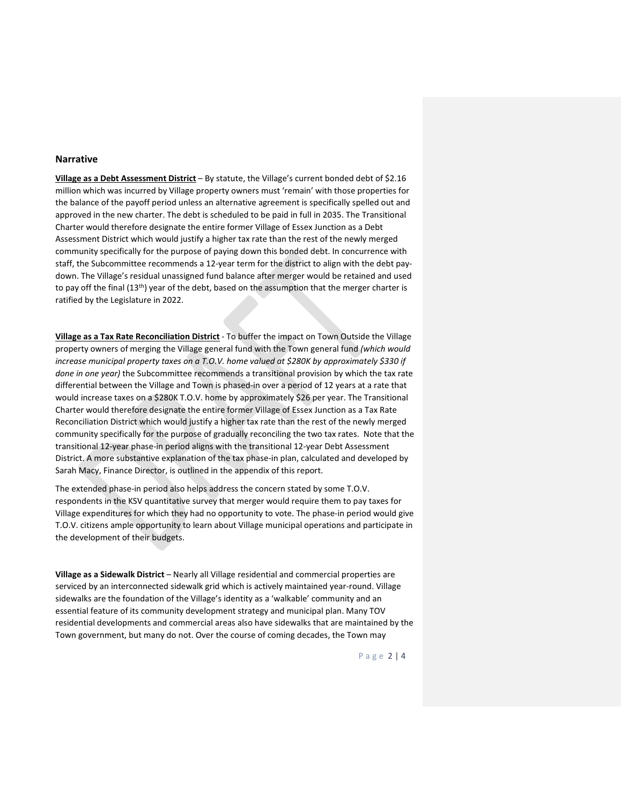#### **Narrative**

**Village as a Debt Assessment District** – By statute, the Village's current bonded debt of \$2.16 million which was incurred by Village property owners must 'remain' with those properties for the balance of the payoff period unless an alternative agreement is specifically spelled out and approved in the new charter. The debt is scheduled to be paid in full in 2035. The Transitional Charter would therefore designate the entire former Village of Essex Junction as a Debt Assessment District which would justify a higher tax rate than the rest of the newly merged community specifically for the purpose of paying down this bonded debt. In concurrence with staff, the Subcommittee recommends a 12-year term for the district to align with the debt paydown. The Village's residual unassigned fund balance after merger would be retained and used to pay off the final (13<sup>th</sup>) year of the debt, based on the assumption that the merger charter is ratified by the Legislature in 2022.

**Village as a Tax Rate Reconciliation District** - To buffer the impact on Town Outside the Village property owners of merging the Village general fund with the Town general fund *(which would increase municipal property taxes on a T.O.V. home valued at \$280K by approximately \$330 if done in one year)* the Subcommittee recommends a transitional provision by which the tax rate differential between the Village and Town is phased-in over a period of 12 years at a rate that would increase taxes on a \$280K T.O.V. home by approximately \$26 per year. The Transitional Charter would therefore designate the entire former Village of Essex Junction as a Tax Rate Reconciliation District which would justify a higher tax rate than the rest of the newly merged community specifically for the purpose of gradually reconciling the two tax rates. Note that the transitional 12-year phase-in period aligns with the transitional 12-year Debt Assessment District. A more substantive explanation of the tax phase-in plan, calculated and developed by Sarah Macy, Finance Director, is outlined in the appendix of this report.

The extended phase-in period also helps address the concern stated by some T.O.V. respondents in the KSV quantitative survey that merger would require them to pay taxes for Village expenditures for which they had no opportunity to vote. The phase-in period would give T.O.V. citizens ample opportunity to learn about Village municipal operations and participate in the development of their budgets.

**Village as a Sidewalk District** – Nearly all Village residential and commercial properties are serviced by an interconnected sidewalk grid which is actively maintained year-round. Village sidewalks are the foundation of the Village's identity as a 'walkable' community and an essential feature of its community development strategy and municipal plan. Many TOV residential developments and commercial areas also have sidewalks that are maintained by the Town government, but many do not. Over the course of coming decades, the Town may

Page 2 | 4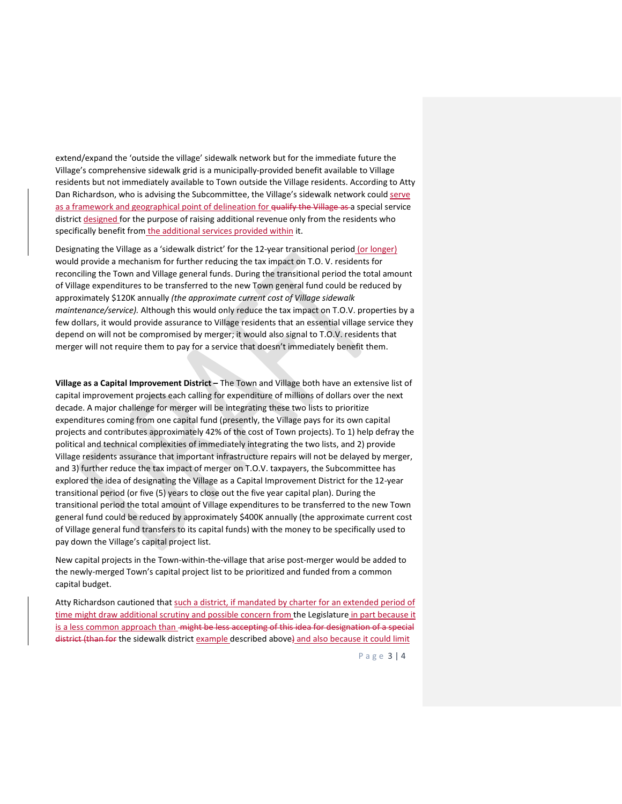extend/expand the 'outside the village' sidewalk network but for the immediate future the Village's comprehensive sidewalk grid is a municipally-provided benefit available to Village residents but not immediately available to Town outside the Village residents. According to Atty Dan Richardson, who is advising the Subcommittee, the Village's sidewalk network could serve as a framework and geographical point of delineation for qualify the Village as a special service district designed for the purpose of raising additional revenue only from the residents who specifically benefit from the additional services provided within it.

Designating the Village as a 'sidewalk district' for the 12-year transitional period (or longer) would provide a mechanism for further reducing the tax impact on T.O. V. residents for reconciling the Town and Village general funds. During the transitional period the total amount of Village expenditures to be transferred to the new Town general fund could be reduced by approximately \$120K annually *(the approximate current cost of Village sidewalk maintenance/service).* Although this would only reduce the tax impact on T.O.V. properties by a few dollars, it would provide assurance to Village residents that an essential village service they depend on will not be compromised by merger; it would also signal to T.O.V. residents that merger will not require them to pay for a service that doesn't immediately benefit them.

**Village as a Capital Improvement District –** The Town and Village both have an extensive list of capital improvement projects each calling for expenditure of millions of dollars over the next decade. A major challenge for merger will be integrating these two lists to prioritize expenditures coming from one capital fund (presently, the Village pays for its own capital projects and contributes approximately 42% of the cost of Town projects). To 1) help defray the political and technical complexities of immediately integrating the two lists, and 2) provide Village residents assurance that important infrastructure repairs will not be delayed by merger, and 3) further reduce the tax impact of merger on T.O.V. taxpayers, the Subcommittee has explored the idea of designating the Village as a Capital Improvement District for the 12-year transitional period (or five (5) years to close out the five year capital plan). During the transitional period the total amount of Village expenditures to be transferred to the new Town general fund could be reduced by approximately \$400K annually (the approximate current cost of Village general fund transfers to its capital funds) with the money to be specifically used to pay down the Village's capital project list.

New capital projects in the Town-within-the-village that arise post-merger would be added to the newly-merged Town's capital project list to be prioritized and funded from a common capital budget.

Atty Richardson cautioned that such a district, if mandated by charter for an extended period of time might draw additional scrutiny and possible concern from the Legislature in part because it is a less common approach than -might be less accepting of this idea for designation of a special district (than for the sidewalk district example described above) and also because it could limit

Page 3 | 4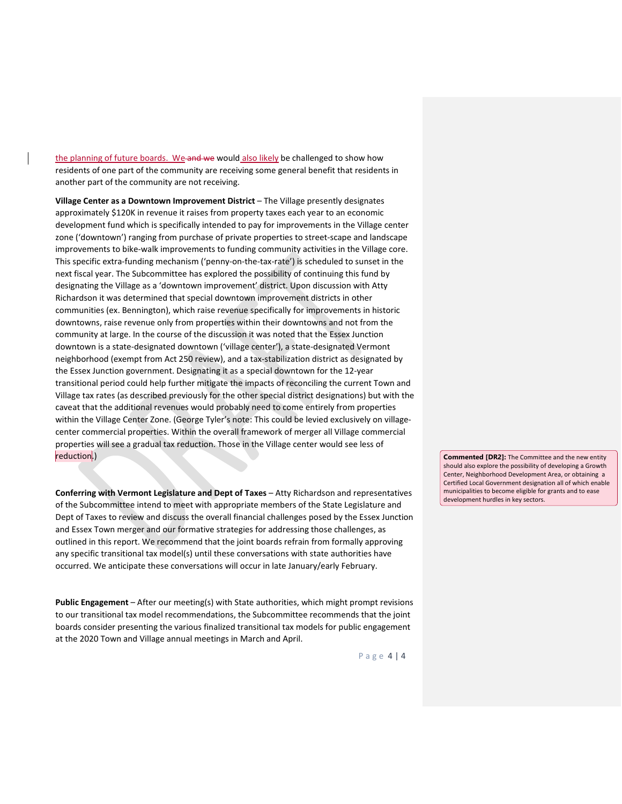the planning of future boards. We and we would also likely be challenged to show how residents of one part of the community are receiving some general benefit that residents in another part of the community are not receiving.

**Village Center as a Downtown Improvement District** – The Village presently designates approximately \$120K in revenue it raises from property taxes each year to an economic development fund which is specifically intended to pay for improvements in the Village center zone ('downtown') ranging from purchase of private properties to street-scape and landscape improvements to bike-walk improvements to funding community activities in the Village core. This specific extra-funding mechanism ('penny-on-the-tax-rate') is scheduled to sunset in the next fiscal year. The Subcommittee has explored the possibility of continuing this fund by designating the Village as a 'downtown improvement' district. Upon discussion with Atty Richardson it was determined that special downtown improvement districts in other communities (ex. Bennington), which raise revenue specifically for improvements in historic downtowns, raise revenue only from properties within their downtowns and not from the community at large. In the course of the discussion it was noted that the Essex Junction downtown is a state-designated downtown ('village center'), a state-designated Vermont neighborhood (exempt from Act 250 review), and a tax-stabilization district as designated by the Essex Junction government. Designating it as a special downtown for the 12-year transitional period could help further mitigate the impacts of reconciling the current Town and Village tax rates (as described previously for the other special district designations) but with the caveat that the additional revenues would probably need to come entirely from properties within the Village Center Zone. (George Tyler's note: This could be levied exclusively on villagecenter commercial properties. Within the overall framework of merger all Village commercial properties will see a gradual tax reduction. Those in the Village center would see less of reduction.)

**Conferring with Vermont Legislature and Dept of Taxes** – Atty Richardson and representatives of the Subcommittee intend to meet with appropriate members of the State Legislature and Dept of Taxes to review and discuss the overall financial challenges posed by the Essex Junction and Essex Town merger and our formative strategies for addressing those challenges, as outlined in this report. We recommend that the joint boards refrain from formally approving any specific transitional tax model(s) until these conversations with state authorities have occurred. We anticipate these conversations will occur in late January/early February.

**Public Engagement** – After our meeting(s) with State authorities, which might prompt revisions to our transitional tax model recommendations, the Subcommittee recommends that the joint boards consider presenting the various finalized transitional tax models for public engagement at the 2020 Town and Village annual meetings in March and April.

Page 4 | 4

**Commented [DR2]:** The Committee and the new entity should also explore the possibility of developing a Growth Center, Neighborhood Development Area, or obtaining a Certified Local Government designation all of which enable municipalities to become eligible for grants and to ease development hurdles in key sectors.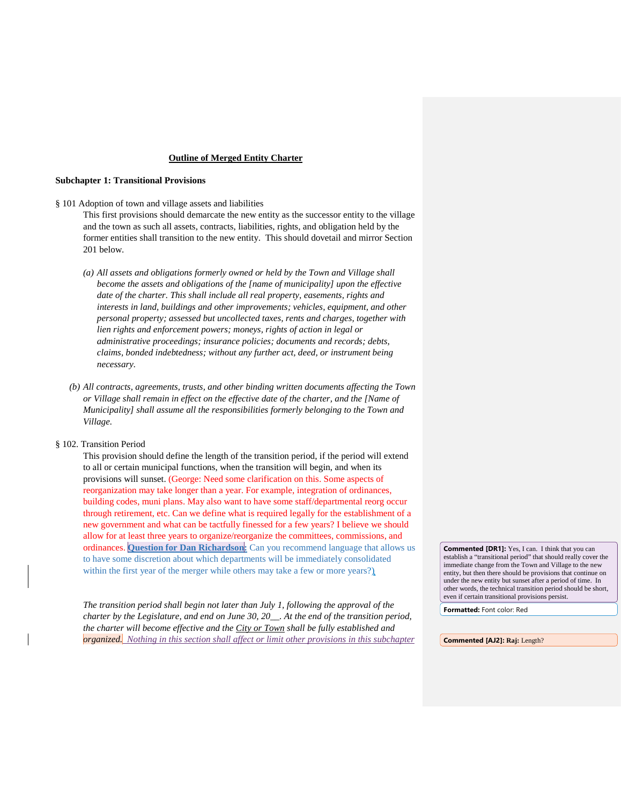#### **Outline of Merged Entity Charter**

#### **Subchapter 1: Transitional Provisions**

§ 101 Adoption of town and village assets and liabilities

This first provisions should demarcate the new entity as the successor entity to the village and the town as such all assets, contracts, liabilities, rights, and obligation held by the former entities shall transition to the new entity. This should dovetail and mirror Section 201 below.

- *(a) All assets and obligations formerly owned or held by the Town and Village shall become the assets and obligations of the [name of municipality] upon the effective date of the charter. This shall include all real property, easements, rights and interests in land, buildings and other improvements; vehicles, equipment, and other personal property; assessed but uncollected taxes, rents and charges, together with lien rights and enforcement powers; moneys, rights of action in legal or administrative proceedings; insurance policies; documents and records; debts, claims, bonded indebtedness; without any further act, deed, or instrument being necessary.*
- *(b) All contracts, agreements, trusts, and other binding written documents affecting the Town or Village shall remain in effect on the effective date of the charter, and the [Name of Municipality] shall assume all the responsibilities formerly belonging to the Town and Village.*

#### § 102. Transition Period

This provision should define the length of the transition period, if the period will extend to all or certain municipal functions, when the transition will begin, and when its provisions will sunset. (George: Need some clarification on this. Some aspects of reorganization may take longer than a year. For example, integration of ordinances, building codes, muni plans. May also want to have some staff/departmental reorg occur through retirement, etc. Can we define what is required legally for the establishment of a new government and what can be tactfully finessed for a few years? I believe we should allow for at least three years to organize/reorganize the committees, commissions, and ordinances. **Question for Dan Richardson:** Can you recommend language that allows us to have some discretion about which departments will be immediately consolidated within the first year of the merger while others may take a few or more years?)

*The transition period shall begin not later than July 1, following the approval of the charter by the Legislature, and end on June 30, 20\_\_. At the end of the transition period, the charter will become effective and the City or Town shall be fully established and organized. Nothing in this section shall affect or limit other provisions in this subchapter* **Commented [DR1]:** Yes, I can. I think that you can establish a "transitional period" that should really cover the immediate change from the Town and Village to the new entity, but then there should be provisions that continue on under the new entity but sunset after a period of time. In other words, the technical transition period should be short, even if certain transitional provisions persist.

**Formatted:** Font color: Red

**Commented [AJ2]: Raj:** Length?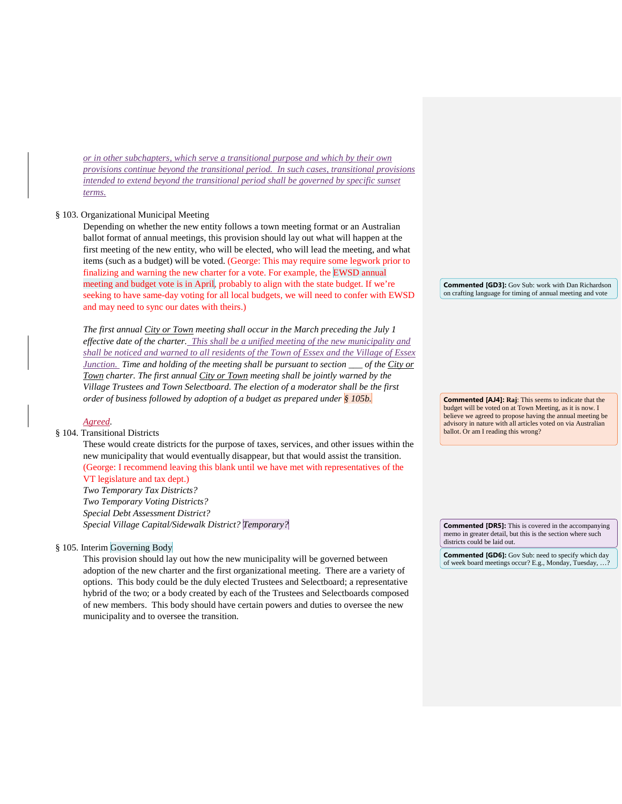*or in other subchapters, which serve a transitional purpose and which by their own provisions continue beyond the transitional period. In such cases, transitional provisions intended to extend beyond the transitional period shall be governed by specific sunset terms.*

#### § 103. Organizational Municipal Meeting

Depending on whether the new entity follows a town meeting format or an Australian ballot format of annual meetings, this provision should lay out what will happen at the first meeting of the new entity, who will be elected, who will lead the meeting, and what items (such as a budget) will be voted. (George: This may require some legwork prior to finalizing and warning the new charter for a vote. For example, the EWSD annual meeting and budget vote is in April, probably to align with the state budget. If we're seeking to have same-day voting for all local budgets, we will need to confer with EWSD and may need to sync our dates with theirs.)

*The first annual City or Town meeting shall occur in the March preceding the July 1 effective date of the charter. This shall be a unified meeting of the new municipality and shall be noticed and warned to all residents of the Town of Essex and the Village of Essex Junction. Time and holding of the meeting shall be pursuant to section \_\_\_ of the City or Town charter. The first annual City or Town meeting shall be jointly warned by the Village Trustees and Town Selectboard. The election of a moderator shall be the first order of business followed by adoption of a budget as prepared under § 105b.*

#### *Agreed.*

#### § 104. Transitional Districts

These would create districts for the purpose of taxes, services, and other issues within the new municipality that would eventually disappear, but that would assist the transition. (George: I recommend leaving this blank until we have met with representatives of the VT legislature and tax dept.) *Two Temporary Tax Districts?*

*Two Temporary Voting Districts? Special Debt Assessment District? Special Village Capital/Sidewalk District? Temporary?*

§ 105. Interim Governing Body

This provision should lay out how the new municipality will be governed between adoption of the new charter and the first organizational meeting. There are a variety of options. This body could be the duly elected Trustees and Selectboard; a representative hybrid of the two; or a body created by each of the Trustees and Selectboards composed of new members. This body should have certain powers and duties to oversee the new municipality and to oversee the transition.

**Commented [GD3]:** Gov Sub: work with Dan Richardson on crafting language for timing of annual meeting and vote

**Commented [AJ4]: Raj**: This seems to indicate that the budget will be voted on at Town Meeting, as it is now. I believe we agreed to propose having the annual meeting be advisory in nature with all articles voted on via Australian ballot. Or am I reading this wrong?

**Commented [DR5]:** This is covered in the accompanying memo in greater detail, but this is the section where such districts could be laid out.

**Commented [GD6]:** Gov Sub: need to specify which day of week board meetings occur? E.g., Monday, Tuesday, …?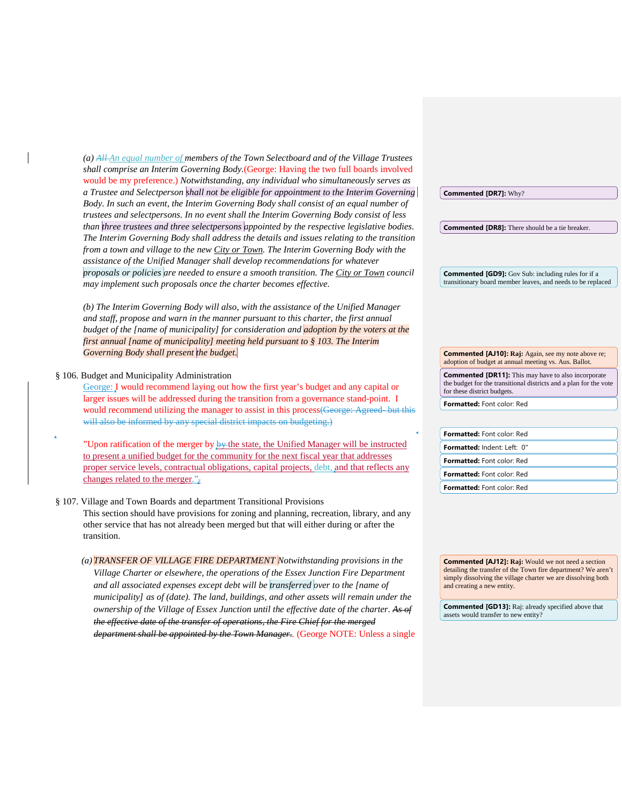*(a) All An equal number of members of the Town Selectboard and of the Village Trustees shall comprise an Interim Governing Body.*(George: Having the two full boards involved would be my preference.) *Notwithstanding, any individual who simultaneously serves as a Trustee and Selectperson shall not be eligible for appointment to the Interim Governing Body. In such an event, the Interim Governing Body shall consist of an equal number of trustees and selectpersons. In no event shall the Interim Governing Body consist of less than three trustees and three selectpersons appointed by the respective legislative bodies. The Interim Governing Body shall address the details and issues relating to the transition from a town and village to the new City or Town. The Interim Governing Body with the assistance of the Unified Manager shall develop recommendations for whatever proposals or policies are needed to ensure a smooth transition. The City or Town council may implement such proposals once the charter becomes effective.* 

*(b) The Interim Governing Body will also, with the assistance of the Unified Manager and staff, propose and warn in the manner pursuant to this charter, the first annual budget of the [name of municipality] for consideration and adoption by the voters at the first annual [name of municipality] meeting held pursuant to § 103. The Interim Governing Body shall present the budget.*

§ 106. Budget and Municipality Administration

George: I would recommend laying out how the first year's budget and any capital or larger issues will be addressed during the transition from a governance stand-point. I would recommend utilizing the manager to assist in this process (George: Agreed- but this will also be informed by any special district impacts on budgeting.)

"Upon ratification of the merger by  $\frac{1}{2}$  the state, the Unified Manager will be instructed to present a unified budget for the community for the next fiscal year that addresses proper service levels, contractual obligations, capital projects, debt, and that reflects any changes related to the merger." $\vec{r}$ 

#### § 107. Village and Town Boards and department Transitional Provisions This section should have provisions for zoning and planning, recreation, library, and any other service that has not already been merged but that will either during or after the transition.

*(a) TRANSFER OF VILLAGE FIRE DEPARTMENT Notwithstanding provisions in the Village Charter or elsewhere, the operations of the Essex Junction Fire Department and all associated expenses except debt will be transferred over to the [name of municipality] as of (date). The land, buildings, and other assets will remain under the ownership of the Village of Essex Junction until the effective date of the charter. As of the effective date of the transfer of operations, the Fire Chief for the merged department shall be appointed by the Town Manager..* (George NOTE: Unless a single

**Commented [GD9]:** Gov Sub: including rules for if a transitionary board member leaves, and needs to be replaced

**Commented [DR8]:** There should be a tie breaker.

**Commented [AJ10]: Raj:** Again, see my note above re; adoption of budget at annual meeting vs. Aus. Ballot. **Commented [DR11]:** This may have to also incorporate

the budget for the transitional districts and a plan for the vote for these district budgets.

**Formatted:** Font color: Red

**Commented [DR7]:** Why?

| <b>Formatted:</b> Font color: Red |
|-----------------------------------|
| Formatted: Indent: Left: 0"       |
| <b>Formatted:</b> Font color: Red |
| <b>Formatted:</b> Font color: Red |
| <b>Formatted:</b> Font color: Red |

**Commented [AJ12]: Raj:** Would we not need a section detailing the transfer of the Town fire department? We aren't simply dissolving the village charter we are dissolving both and creating a new entity.

**Commented [GD13]:** Raj: already specified above that assets would transfer to new entity?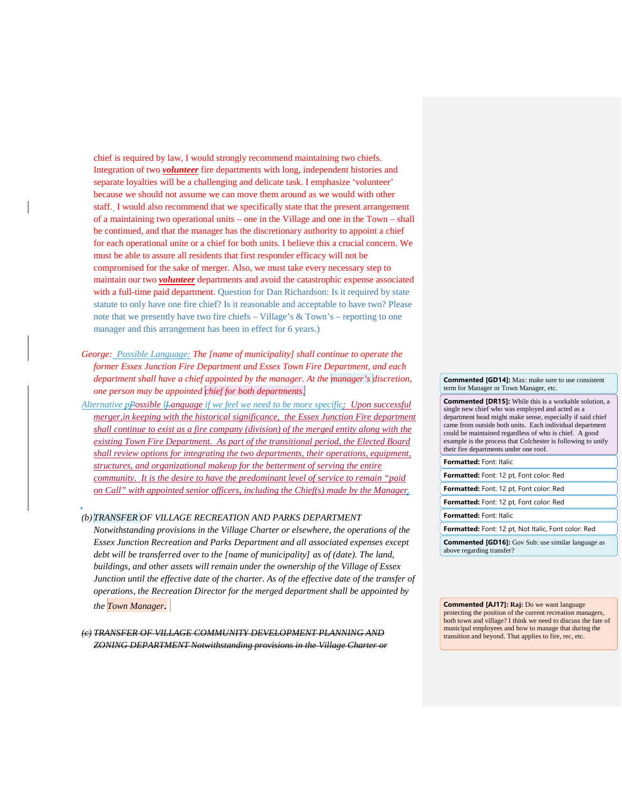chief is required by law, I would strongly recommend maintaining two chiefs. Integration of two *volunteer* fire departments with long, independent histories and separate loyalties will be a challenging and delicate task. I emphasize 'volunteer' because we should not assume we can move them around as we would with other staff. I would also recommend that we specifically state that the present arrangement of a maintaining two operational units – one in the Village and one in the Town – shall be continued, and that the manager has the discretionary authority to appoint a chief for each operational unite or a chief for both units. I believe this a crucial concern. We must be able to assure all residents that first responder efficacy will not be compromised for the sake of merger. Also, we must take every necessary step to maintain our two *volunteer* departments and avoid the catastrophic expense associated with a full-time paid department. Question for Dan Richardson: Is it required by state statute to only have one fire chief? Is it reasonable and acceptable to have two? Please note that we presently have two fire chiefs – Village's & Town's – reporting to one manager and this arrangement has been in effect for 6 years.)

- *George: Possible Language: The [name of municipality] shall continue to operate the former Essex Junction Fire Department and Essex Town Fire Department, and each department shall have a chief appointed by the manager. At the manager's discretion, one person may be appointed chief for both departments.*
- *Alternative pPossible lLanguage if we feel we need to be more specific: Upon successful merger,in keeping with the historical significance, the Essex Junction Fire department shall continue to exist as a fire company (division) of the merged entity along with the existing Town Fire Department. As part of the transitional period, the Elected Board shall review options for integrating the two departments, their operations, equipment, structures, and organizational makeup for the betterment of serving the entire community. It is the desire to have the predominant level of service to remain "paid on Call" with appointed senior officers, including the Chief(s) made by the Manager.*

#### *(b) TRANSFER OF VILLAGE RECREATION AND PARKS DEPARTMENT*

*Notwithstanding provisions in the Village Charter or elsewhere, the operations of the Essex Junction Recreation and Parks Department and all associated expenses except debt will be transferred over to the [name of municipality] as of (date). The land, buildings, and other assets will remain under the ownership of the Village of Essex Junction until the effective date of the charter. As of the effective date of the transfer of operations, the Recreation Director for the merged department shall be appointed by the Town Manager.* 

*(c) TRANSFER OF VILLAGE COMMUNITY DEVELOPMENT PLANNING AND ZONING DEPARTMENT Notwithstanding provisions in the Village Charter or*  **Commented [GD14]:** Max: make sure to use consistent term for Manager or Town Manager, etc.

**Commented [DR15]:** While this is a workable solution, a single new chief who was employed and acted as a department head might make sense, especially if said chief came from outside both units. Each individual department could be maintained regardless of who is chief. A good example is the process that Colchester is following to unify their fire departments under one roof.

**Formatted:** Font: Italic

**Formatted:** Font: 12 pt, Font color: Red

**Formatted:** Font: 12 pt, Font color: Red

**Formatted:** Font: 12 pt, Font color: Red

**Formatted:** Font: Italic

**Formatted:** Font: 12 pt, Not Italic, Font color: Red

**Commented [GD16]:** Gov Sub: use similar language as above regarding transfer?

**Commented [AJ17]: Raj:** Do we want language protecting the position of the current recreation managers, both town and village? I think we need to discuss the fate of municipal employees and how to manage that during the transition and beyond. That applies to fire, rec, etc.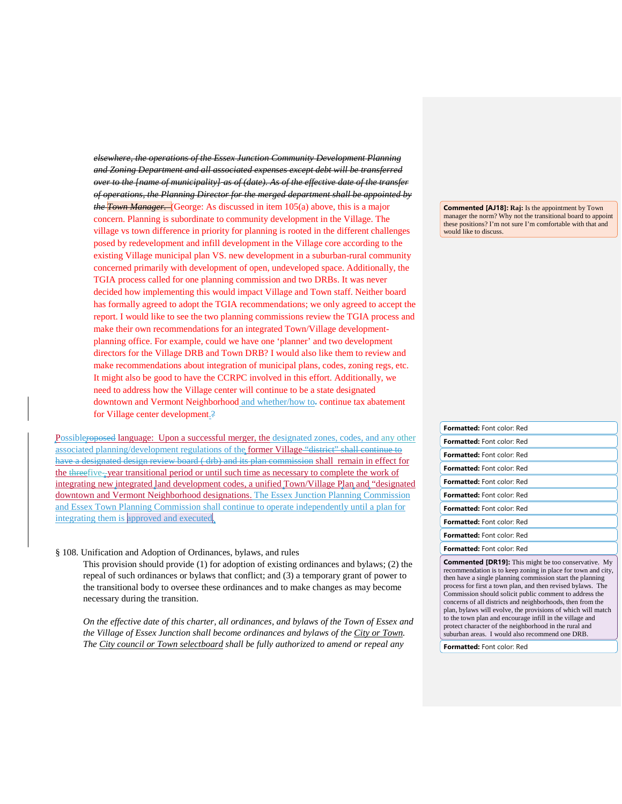*elsewhere, the operations of the Essex Junction Community Development Planning and Zoning Department and all associated expenses except debt will be transferred over to the [name of municipality] as of (date). As of the effective date of the transfer of operations, the Planning Director for the merged department shall be appointed by the Town Manager.* (George: As discussed in item 105(a) above, this is a major concern. Planning is subordinate to community development in the Village. The village vs town difference in priority for planning is rooted in the different challenges posed by redevelopment and infill development in the Village core according to the existing Village municipal plan VS. new development in a suburban-rural community concerned primarily with development of open, undeveloped space. Additionally, the TGIA process called for one planning commission and two DRBs. It was never decided how implementing this would impact Village and Town staff. Neither board has formally agreed to adopt the TGIA recommendations; we only agreed to accept the report. I would like to see the two planning commissions review the TGIA process and make their own recommendations for an integrated Town/Village developmentplanning office. For example, could we have one 'planner' and two development directors for the Village DRB and Town DRB? I would also like them to review and make recommendations about integration of municipal plans, codes, zoning regs, etc. It might also be good to have the CCRPC involved in this effort. Additionally, we need to address how the Village center will continue to be a state designated downtown and Vermont Neighborhood and whether/how to-continue tax abatement for Village center development.?

Possibleroposed language: Upon a successful merger, the designated zones, codes, and any other associated planning/development regulations of the former Village "district" shall continue to have a designated design review board ( drb) and its plan commission shall remain in effect for the threefive- year transitional period or until such time as necessary to complete the work of integrating new integrated land development codes, a unified Town/Village Plan and "designated downtown and Vermont Neighborhood designations. The Essex Junction Planning Commission and Essex Town Planning Commission shall continue to operate independently until a plan for integrating them is approved and executed.

#### § 108. Unification and Adoption of Ordinances, bylaws, and rules

This provision should provide (1) for adoption of existing ordinances and bylaws; (2) the repeal of such ordinances or bylaws that conflict; and (3) a temporary grant of power to the transitional body to oversee these ordinances and to make changes as may become necessary during the transition.

*On the effective date of this charter, all ordinances, and bylaws of the Town of Essex and the Village of Essex Junction shall become ordinances and bylaws of the City or Town. The City council or Town selectboard shall be fully authorized to amend or repeal any* 

**Commented [AJ18]: Raj:** Is the appointment by Town manager the norm? Why not the transitional board to appoint these positions? I'm not sure I'm comfortable with that and would like to discuss.

| <b>Formatted:</b> Font color: Red                                                                                                                                                                                                                       |
|---------------------------------------------------------------------------------------------------------------------------------------------------------------------------------------------------------------------------------------------------------|
| <b>Formatted:</b> Font color: Red                                                                                                                                                                                                                       |
| <b>Formatted:</b> Font color: Red                                                                                                                                                                                                                       |
| <b>Formatted:</b> Font color: Red                                                                                                                                                                                                                       |
| <b>Formatted:</b> Font color: Red                                                                                                                                                                                                                       |
| <b>Formatted:</b> Font color: Red                                                                                                                                                                                                                       |
| <b>Formatted:</b> Font color: Red                                                                                                                                                                                                                       |
| <b>Formatted:</b> Font color: Red                                                                                                                                                                                                                       |
| <b>Formatted:</b> Font color: Red                                                                                                                                                                                                                       |
| <b>Formatted:</b> Font color: Red                                                                                                                                                                                                                       |
| <b>Commented [DR19]:</b> This might be too conservative. My<br>recommendation is to keep zoning in place for town and city,<br>then have a single planning commission start the planning<br>process for first a town plan, and then revised bylaws. The |

ommission should solicit public comment to address the concerns of all districts and neighborhoods, then from the plan, bylaws will evolve, the provisions of which will match to the town plan and encourage infill in the village and protect character of the neighborhood in the rural and suburban areas. I would also recommend one DRB.

**Formatted:** Font color: Red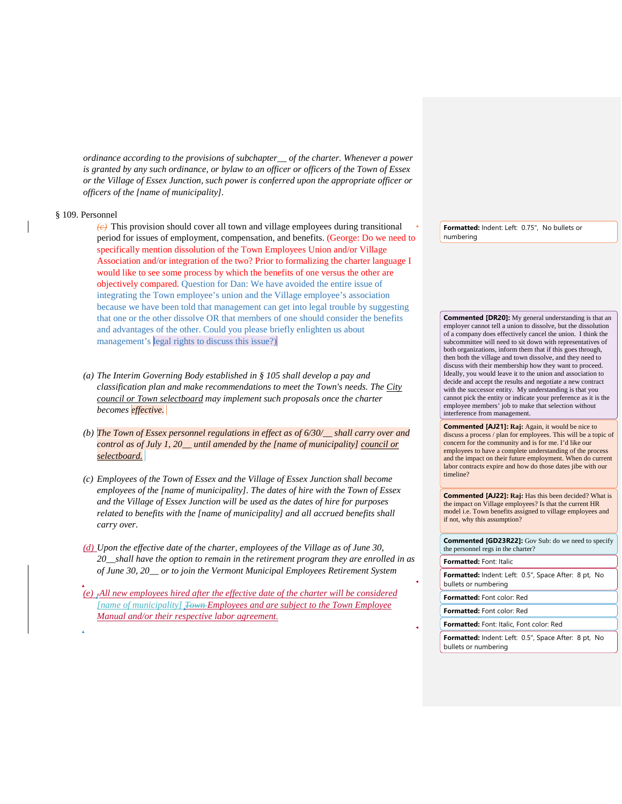*ordinance according to the provisions of subchapter\_\_ of the charter. Whenever a power is granted by any such ordinance, or bylaw to an officer or officers of the Town of Essex or the Village of Essex Junction, such power is conferred upon the appropriate officer or officers of the [name of municipality].*

#### § 109. Personnel

*(c)* This provision should cover all town and village employees during transitional period for issues of employment, compensation, and benefits. (George: Do we need to specifically mention dissolution of the Town Employees Union and/or Village Association and/or integration of the two? Prior to formalizing the charter language I would like to see some process by which the benefits of one versus the other are objectively compared. Question for Dan: We have avoided the entire issue of integrating the Town employee's union and the Village employee's association because we have been told that management can get into legal trouble by suggesting that one or the other dissolve OR that members of one should consider the benefits and advantages of the other. Could you please briefly enlighten us about management's legal rights to discuss this issue?)

- *(a) The Interim Governing Body established in § 105 shall develop a pay and classification plan and make recommendations to meet the Town's needs. The City council or Town selectboard may implement such proposals once the charter becomes effective.*
- *(b) The Town of Essex personnel regulations in effect as of 6/30/\_\_ shall carry over and control as of July 1, 20\_\_ until amended by the [name of municipality] council or selectboard.*
- *(c) Employees of the Town of Essex and the Village of Essex Junction shall become employees of the [name of municipality]. The dates of hire with the Town of Essex and the Village of Essex Junction will be used as the dates of hire for purposes related to benefits with the [name of municipality] and all accrued benefits shall carry over.*
- *(d) Upon the effective date of the charter, employees of the Village as of June 30, 20\_\_shall have the option to remain in the retirement program they are enrolled in as of June 30, 20\_\_ or to join the Vermont Municipal Employees Retirement System*

*(e) .All new employees hired after the effective date of the charter will be considered [name of municipality] Town Employees and are subject to the Town Employee Manual and/or their respective labor agreement.*

**Formatted:** Indent: Left: 0.75", No bullets or numbering

**Commented [DR20]:** My general understanding is that an employer cannot tell a union to dissolve, but the dissolution of a company does effectively cancel the union. I think the subcommittee will need to sit down with representatives of both organizations, inform them that if this goes through, then both the village and town dissolve, and they need to discuss with their membership how they want to proceed. Ideally, you would leave it to the union and association to decide and accept the results and negotiate a new contract with the successor entity. My understanding is that you cannot pick the entity or indicate your preference as it is the employee members' job to make that selection without interference from management.

**Commented [AJ21]: Raj:** Again, it would be nice to discuss a process / plan for employees. This will be a topic of concern for the community and is for me. I'd like our employees to have a complete understanding of the process and the impact on their future employment. When do current labor contracts expire and how do those dates jibe with our timeline?

**Commented [AJ22]: Raj:** Has this been decided? What is the impact on Village employees? Is that the current HR model i.e. Town benefits assigned to village employees and if not, why this assumption?

**Commented [GD23R22]:** Gov Sub: do we need to specify the personnel regs in the charter? **Formatted:** Font: Italic **Formatted:** Indent: Left: 0.5", Space After: 8 pt, No bullets or numbering **Formatted:** Font color: Red **Formatted:** Font color: Red **Formatted:** Font: Italic, Font color: Red

**Formatted:** Indent: Left: 0.5", Space After: 8 pt, No bullets or numbering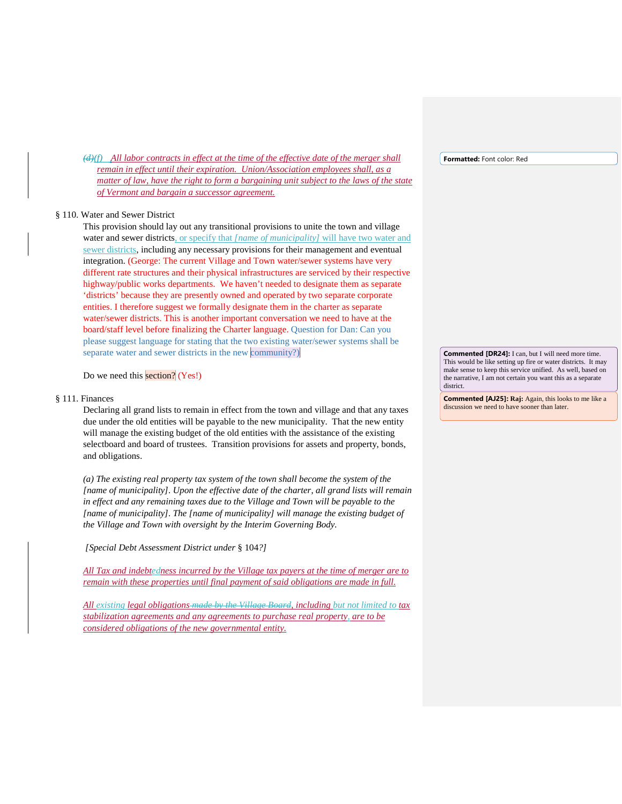*(d)(f) All labor contracts in effect at the time of the effective date of the merger shall remain in effect until their expiration. Union/Association employees shall, as a matter of law, have the right to form a bargaining unit subject to the laws of the state of Vermont and bargain a successor agreement.*

#### § 110. Water and Sewer District

This provision should lay out any transitional provisions to unite the town and village water and sewer districts, or specify that *[name of municipality]* will have two water and sewer districts, including any necessary provisions for their management and eventual integration. (George: The current Village and Town water/sewer systems have very different rate structures and their physical infrastructures are serviced by their respective highway/public works departments. We haven't needed to designate them as separate 'districts' because they are presently owned and operated by two separate corporate entities. I therefore suggest we formally designate them in the charter as separate water/sewer districts. This is another important conversation we need to have at the board/staff level before finalizing the Charter language. Question for Dan: Can you please suggest language for stating that the two existing water/sewer systems shall be separate water and sewer districts in the new community?)

Do we need this section? (Yes!)

#### § 111. Finances

Declaring all grand lists to remain in effect from the town and village and that any taxes due under the old entities will be payable to the new municipality. That the new entity will manage the existing budget of the old entities with the assistance of the existing selectboard and board of trustees. Transition provisions for assets and property, bonds, and obligations.

*(a) The existing real property tax system of the town shall become the system of the [name of municipality]. Upon the effective date of the charter, all grand lists will remain*  in effect and any remaining taxes due to the Village and Town will be payable to the *[name of municipality]. The [name of municipality] will manage the existing budget of the Village and Town with oversight by the Interim Governing Body.*

*[Special Debt Assessment District under* § 104*?]*

*All Tax and indebtedness incurred by the Village tax payers at the time of merger are to remain with these properties until final payment of said obligations are made in full.*

*All existing legal obligations made by the Village Board, including but not limited to tax stabilization agreements and any agreements to purchase real property, are to be considered obligations of the new governmental entity.*

**Formatted:** Font color: Red

**Commented [DR24]:** I can, but I will need more time. This would be like setting up fire or water districts. It may make sense to keep this service unified. As well, based on the narrative, I am not certain you want this as a separate district.

**Commented [AJ25]: Raj:** Again, this looks to me like a discussion we need to have sooner than later.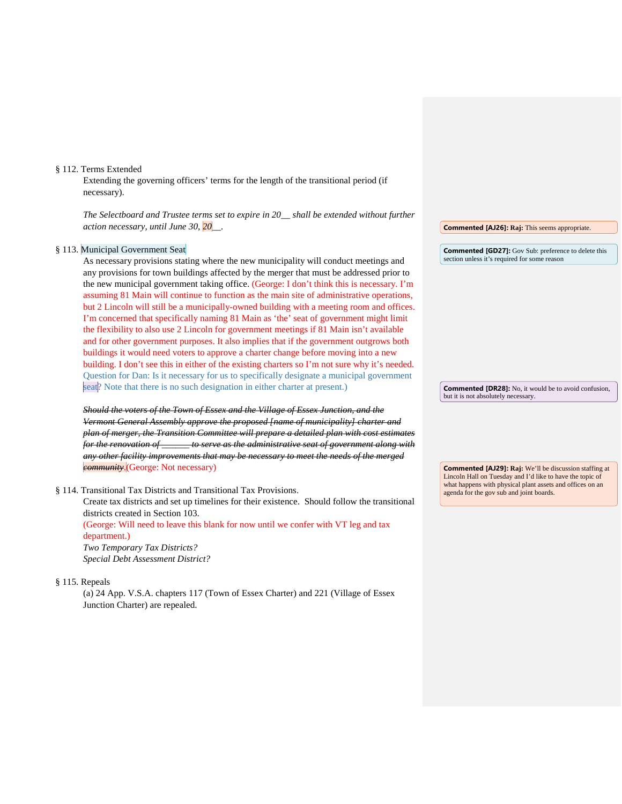#### § 112. Terms Extended

Extending the governing officers' terms for the length of the transitional period (if necessary).

*The Selectboard and Trustee terms set to expire in 20\_\_ shall be extended without further action necessary, until June 30, 20\_\_.*

#### § 113. Municipal Government Seat

As necessary provisions stating where the new municipality will conduct meetings and any provisions for town buildings affected by the merger that must be addressed prior to the new municipal government taking office. (George: I don't think this is necessary. I'm assuming 81 Main will continue to function as the main site of administrative operations, but 2 Lincoln will still be a municipally-owned building with a meeting room and offices. I'm concerned that specifically naming 81 Main as 'the' seat of government might limit the flexibility to also use 2 Lincoln for government meetings if 81 Main isn't available and for other government purposes. It also implies that if the government outgrows both buildings it would need voters to approve a charter change before moving into a new building. I don't see this in either of the existing charters so I'm not sure why it's needed. Question for Dan: Is it necessary for us to specifically designate a municipal government seat? Note that there is no such designation in either charter at present.)

*Should the voters of the Town of Essex and the Village of Essex Junction, and the Vermont General Assembly approve the proposed [name of municipality] charter and plan of merger, the Transition Committee will prepare a detailed plan with cost estimates for the renovation of \_\_\_\_\_\_ to serve as the administrative seat of government along with any other facility improvements that may be necessary to meet the needs of the merged community*.(George: Not necessary)

§ 114. Transitional Tax Districts and Transitional Tax Provisions.

Create tax districts and set up timelines for their existence. Should follow the transitional districts created in Section 103.

(George: Will need to leave this blank for now until we confer with VT leg and tax department.)

*Two Temporary Tax Districts? Special Debt Assessment District?*

§ 115. Repeals

(a) 24 App. V.S.A. chapters 117 (Town of Essex Charter) and 221 (Village of Essex Junction Charter) are repealed.

**Commented [AJ26]: Raj:** This seems appropriate.

**Commented [GD27]:** Gov Sub: preference to delete this section unless it's required for some reason

**Commented [DR28]:** No, it would be to avoid confusion, but it is not absolutely necessary.

**Commented [AJ29]: Raj:** We'll be discussion staffing at Lincoln Hall on Tuesday and I'd like to have the topic of what happens with physical plant assets and offices on an agenda for the gov sub and joint boards.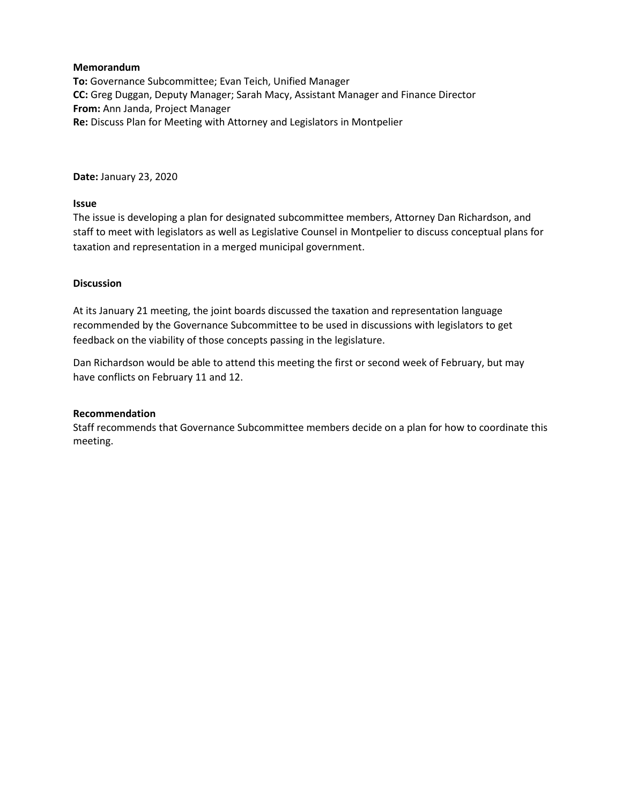**To:** Governance Subcommittee; Evan Teich, Unified Manager **CC:** Greg Duggan, Deputy Manager; Sarah Macy, Assistant Manager and Finance Director **From:** Ann Janda, Project Manager **Re:** Discuss Plan for Meeting with Attorney and Legislators in Montpelier

**Date:** January 23, 2020

## **Issue**

The issue is developing a plan for designated subcommittee members, Attorney Dan Richardson, and staff to meet with legislators as well as Legislative Counsel in Montpelier to discuss conceptual plans for taxation and representation in a merged municipal government.

## **Discussion**

At its January 21 meeting, the joint boards discussed the taxation and representation language recommended by the Governance Subcommittee to be used in discussions with legislators to get feedback on the viability of those concepts passing in the legislature.

Dan Richardson would be able to attend this meeting the first or second week of February, but may have conflicts on February 11 and 12.

## **Recommendation**

Staff recommends that Governance Subcommittee members decide on a plan for how to coordinate this meeting.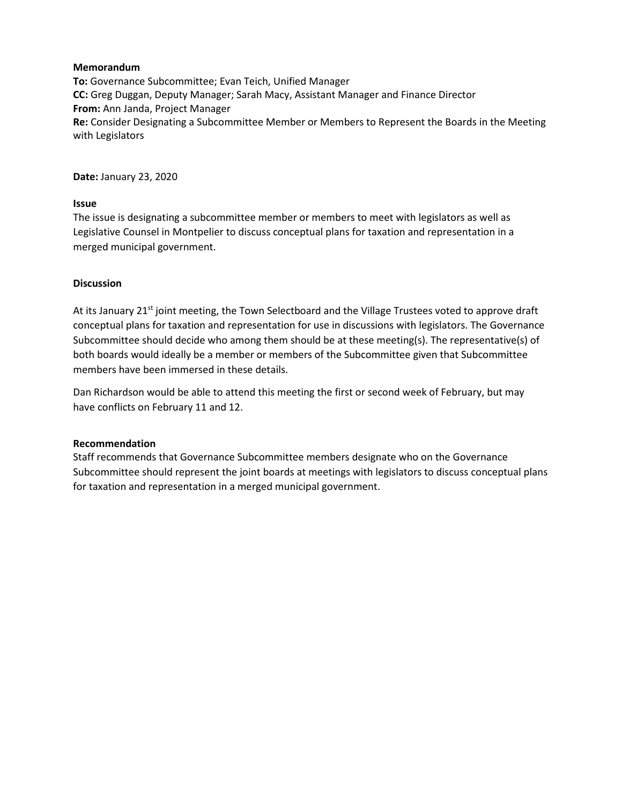**To:** Governance Subcommittee; Evan Teich, Unified Manager **CC:** Greg Duggan, Deputy Manager; Sarah Macy, Assistant Manager and Finance Director **From:** Ann Janda, Project Manager **Re:** Consider Designating a Subcommittee Member or Members to Represent the Boards in the Meeting with Legislators

**Date:** January 23, 2020

## **Issue**

The issue is designating a subcommittee member or members to meet with legislators as well as Legislative Counsel in Montpelier to discuss conceptual plans for taxation and representation in a merged municipal government.

## **Discussion**

At its January 21<sup>st</sup> joint meeting, the Town Selectboard and the Village Trustees voted to approve draft conceptual plans for taxation and representation for use in discussions with legislators. The Governance Subcommittee should decide who among them should be at these meeting(s). The representative(s) of both boards would ideally be a member or members of the Subcommittee given that Subcommittee members have been immersed in these details.

Dan Richardson would be able to attend this meeting the first or second week of February, but may have conflicts on February 11 and 12.

## **Recommendation**

Staff recommends that Governance Subcommittee members designate who on the Governance Subcommittee should represent the joint boards at meetings with legislators to discuss conceptual plans for taxation and representation in a merged municipal government.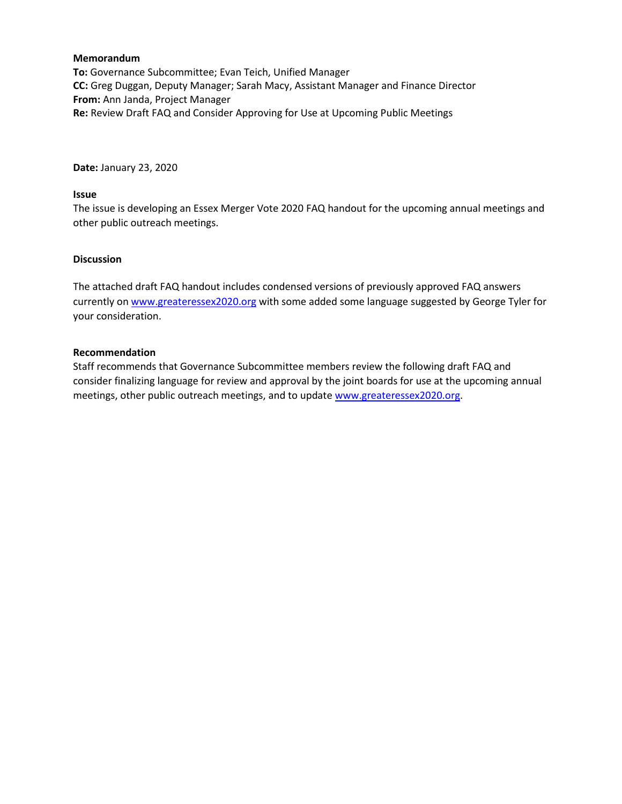**To:** Governance Subcommittee; Evan Teich, Unified Manager **CC:** Greg Duggan, Deputy Manager; Sarah Macy, Assistant Manager and Finance Director **From:** Ann Janda, Project Manager **Re:** Review Draft FAQ and Consider Approving for Use at Upcoming Public Meetings

**Date:** January 23, 2020

## **Issue**

The issue is developing an Essex Merger Vote 2020 FAQ handout for the upcoming annual meetings and other public outreach meetings.

## **Discussion**

The attached draft FAQ handout includes condensed versions of previously approved FAQ answers currently on [www.greateressex2020.org](http://www.greateressex2020.org/) with some added some language suggested by George Tyler for your consideration.

## **Recommendation**

Staff recommends that Governance Subcommittee members review the following draft FAQ and consider finalizing language for review and approval by the joint boards for use at the upcoming annual meetings, other public outreach meetings, and to updat[e www.greateressex2020.org.](http://www.greateressex2020.org/)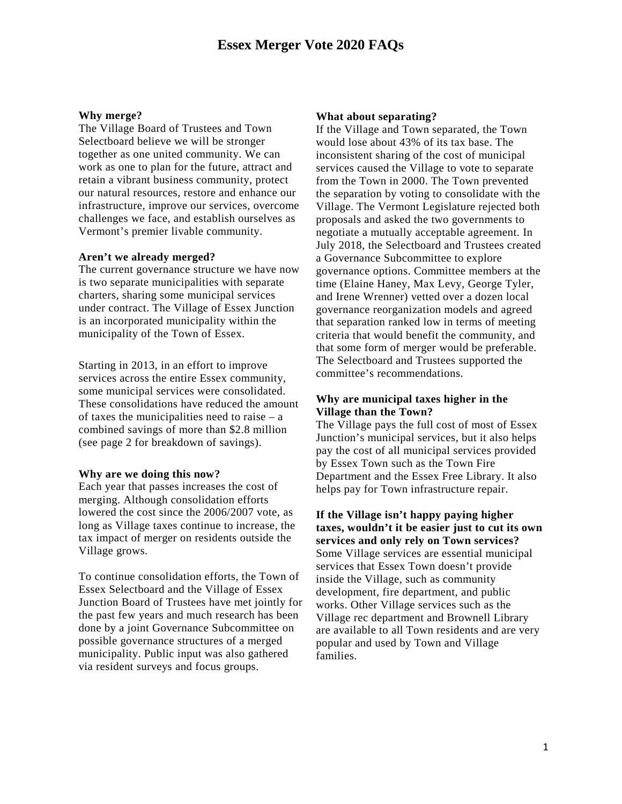#### **Why merge?**

The Village Board of Trustees and Town Selectboard believe we will be stronger together as one united community. We can work as one to plan for the future, attract and retain a vibrant business community, protect our natural resources, restore and enhance our infrastructure, improve our services, overcome challenges we face, and establish ourselves as Vermont's premier livable community.

#### **Aren't we already merged?**

The current governance structure we have now is two separate municipalities with separate charters, sharing some municipal services under contract. The Village of Essex Junction is an incorporated municipality within the municipality of the Town of Essex.

Starting in 2013, in an effort to improve services across the entire Essex community, some municipal services were consolidated. These consolidations have reduced the amount of taxes the municipalities need to raise – a combined savings of more than \$2.8 million (see page 2 for breakdown of savings).

#### **Why are we doing this now?**

Each year that passes increases the cost of merging. Although consolidation efforts lowered the cost since the 2006/2007 vote, as long as Village taxes continue to increase, the tax impact of merger on residents outside the Village grows.

To continue consolidation efforts, the Town of Essex Selectboard and the Village of Essex Junction Board of Trustees have met jointly for the past few years and much research has been done by a joint Governance Subcommittee on possible governance structures of a merged municipality. Public input was also gathered via resident surveys and focus groups.

#### **What about separating?**

If the Village and Town separated, the Town would lose about 43% of its tax base. The inconsistent sharing of the cost of municipal services caused the Village to vote to separate from the Town in 2000. The Town prevented the separation by voting to consolidate with the Village. The Vermont Legislature rejected both proposals and asked the two governments to negotiate a mutually acceptable agreement. In July 2018, the Selectboard and Trustees created a Governance Subcommittee to explore governance options. Committee members at the time (Elaine Haney, Max Levy, George Tyler, and Irene Wrenner) vetted over a dozen local governance reorganization models and agreed that separation ranked low in terms of meeting criteria that would benefit the community, and that some form of merger would be preferable. The Selectboard and Trustees supported the committee's recommendations.

## **Why are municipal taxes higher in the Village than the Town?**

The Village pays the full cost of most of Essex Junction's municipal services, but it also helps pay the cost of all municipal services provided by Essex Town such as the Town Fire Department and the Essex Free Library. It also helps pay for Town infrastructure repair.

**If the Village isn't happy paying higher taxes, wouldn't it be easier just to cut its own services and only rely on Town services?** Some Village services are essential municipal services that Essex Town doesn't provide inside the Village, such as community development, fire department, and public works. Other Village services such as the Village rec department and Brownell Library are available to all Town residents and are very popular and used by Town and Village families.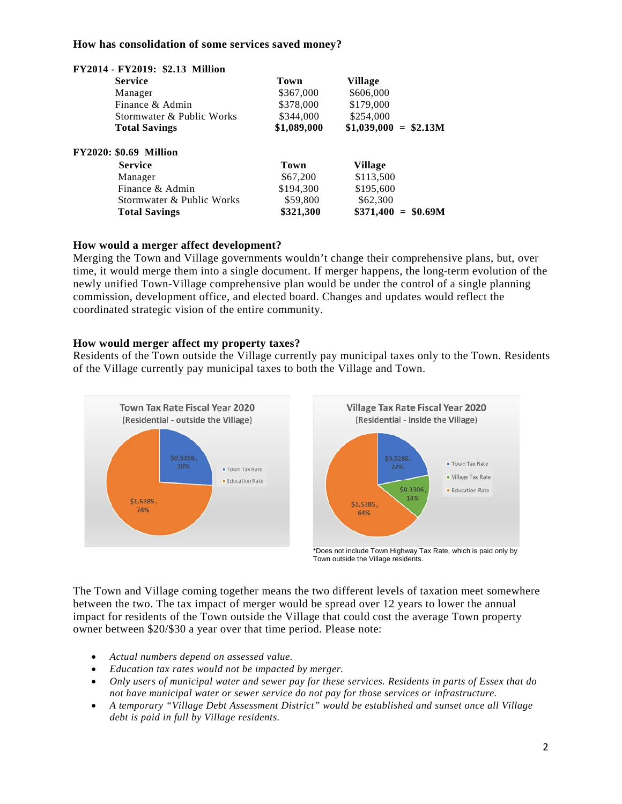## **How has consolidation of some services saved money?**

| $12017 - 12017$ . $92.13$ Million<br><b>Service</b> | Town        | Village                  |
|-----------------------------------------------------|-------------|--------------------------|
| Manager                                             | \$367,000   | \$606,000                |
| Finance & Admin                                     | \$378,000   | \$179,000                |
| Stormwater & Public Works                           | \$344,000   | \$254,000                |
| <b>Total Savings</b>                                | \$1,089,000 | $$1,039,000 = $2.13M$    |
| <b>FY2020: \$0.69 Million</b>                       |             |                          |
| <b>Service</b>                                      | Town        | Village                  |
| Manager                                             | \$67,200    | \$113,500                |
| Finance & Admin                                     | \$194,300   | \$195,600                |
| Stormwater & Public Works                           | \$59,800    | \$62,300                 |
| <b>Total Savings</b>                                | \$321,300   | \$371,400<br>$=$ \$0.69M |

## **FY2014 - FY2019: \$2.13 Million**

## **How would a merger affect development?**

Merging the Town and Village governments wouldn't change their comprehensive plans, but, over time, it would merge them into a single document. If merger happens, the long-term evolution of the newly unified Town-Village comprehensive plan would be under the control of a single planning commission, development office, and elected board. Changes and updates would reflect the coordinated strategic vision of the entire community.

## **How would merger affect my property taxes?**

Residents of the Town outside the Village currently pay municipal taxes only to the Town. Residents of the Village currently pay municipal taxes to both the Village and Town.



\*Does not include Town Highway Tax Rate, which is paid only by Town outside the Village residents.

The Town and Village coming together means the two different levels of taxation meet somewhere between the two. The tax impact of merger would be spread over 12 years to lower the annual impact for residents of the Town outside the Village that could cost the average Town property owner between \$20/\$30 a year over that time period. Please note:

- *Actual numbers depend on assessed value.*
- *Education tax rates would not be impacted by merger.*
- *Only users of municipal water and sewer pay for these services. Residents in parts of Essex that do not have municipal water or sewer service do not pay for those services or infrastructure.*
- *A temporary "Village Debt Assessment District" would be established and sunset once all Village debt is paid in full by Village residents.*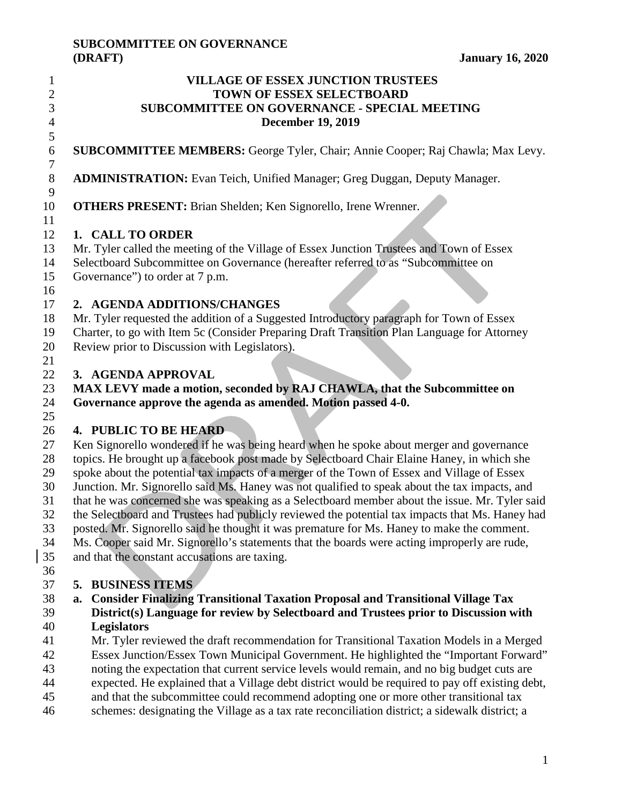# **SUBCOMMITTEE ON GOVERNANCE**

| 1                             | <b>VILLAGE OF ESSEX JUNCTION TRUSTEES</b>                                                                           |  |  |  |
|-------------------------------|---------------------------------------------------------------------------------------------------------------------|--|--|--|
| $\overline{c}$                | TOWN OF ESSEX SELECTBOARD                                                                                           |  |  |  |
| 3                             | <b>SUBCOMMITTEE ON GOVERNANCE - SPECIAL MEETING</b>                                                                 |  |  |  |
| $\overline{\mathcal{L}}$<br>5 | <b>December 19, 2019</b>                                                                                            |  |  |  |
| $\boldsymbol{6}$              | SUBCOMMITTEE MEMBERS: George Tyler, Chair; Annie Cooper; Raj Chawla; Max Levy.                                      |  |  |  |
| $\tau$                        |                                                                                                                     |  |  |  |
| $8\,$<br>9                    | <b>ADMINISTRATION:</b> Evan Teich, Unified Manager; Greg Duggan, Deputy Manager.                                    |  |  |  |
| 10                            | <b>OTHERS PRESENT:</b> Brian Shelden; Ken Signorello, Irene Wrenner.                                                |  |  |  |
| 11                            |                                                                                                                     |  |  |  |
| 12                            | 1. CALL TO ORDER                                                                                                    |  |  |  |
| 13                            | Mr. Tyler called the meeting of the Village of Essex Junction Trustees and Town of Essex                            |  |  |  |
| 14<br>15                      | Selectboard Subcommittee on Governance (hereafter referred to as "Subcommittee on<br>Governance" to order at 7 p.m. |  |  |  |
| 16                            |                                                                                                                     |  |  |  |
| 17                            | 2. AGENDA ADDITIONS/CHANGES                                                                                         |  |  |  |
| 18                            | Mr. Tyler requested the addition of a Suggested Introductory paragraph for Town of Essex                            |  |  |  |
| 19                            | Charter, to go with Item 5c (Consider Preparing Draft Transition Plan Language for Attorney                         |  |  |  |
| 20                            | Review prior to Discussion with Legislators).                                                                       |  |  |  |
| 21                            |                                                                                                                     |  |  |  |
| 22                            | 3. AGENDA APPROVAL                                                                                                  |  |  |  |
| 23                            | MAX LEVY made a motion, seconded by RAJ CHAWLA, that the Subcommittee on                                            |  |  |  |
| 24                            | Governance approve the agenda as amended. Motion passed 4-0.                                                        |  |  |  |
| 25                            |                                                                                                                     |  |  |  |
| 26                            | 4. PUBLIC TO BE HEARD                                                                                               |  |  |  |
| 27                            | Ken Signorello wondered if he was being heard when he spoke about merger and governance                             |  |  |  |
| 28                            | topics. He brought up a facebook post made by Selectboard Chair Elaine Haney, in which she                          |  |  |  |
| 29                            | spoke about the potential tax impacts of a merger of the Town of Essex and Village of Essex                         |  |  |  |
| 30                            | Junction. Mr. Signorello said Ms. Haney was not qualified to speak about the tax impacts, and                       |  |  |  |
| 31                            | that he was concerned she was speaking as a Selectboard member about the issue. Mr. Tyler said                      |  |  |  |
| 32                            | the Selectboard and Trustees had publicly reviewed the potential tax impacts that Ms. Haney had                     |  |  |  |
| 33                            | posted. Mr. Signorello said he thought it was premature for Ms. Haney to make the comment.                          |  |  |  |
| 34<br>35                      | Ms. Cooper said Mr. Signorello's statements that the boards were acting improperly are rude,                        |  |  |  |
| 36                            | and that the constant accusations are taxing.                                                                       |  |  |  |
| 37                            | 5. BUSINESS ITEMS                                                                                                   |  |  |  |
| 38                            | <b>Consider Finalizing Transitional Taxation Proposal and Transitional Village Tax</b><br>a.                        |  |  |  |
| 39                            | District(s) Language for review by Selectboard and Trustees prior to Discussion with                                |  |  |  |
| 40                            | <b>Legislators</b>                                                                                                  |  |  |  |
| 41                            | Mr. Tyler reviewed the draft recommendation for Transitional Taxation Models in a Merged                            |  |  |  |
| 42                            | Essex Junction/Essex Town Municipal Government. He highlighted the "Important Forward"                              |  |  |  |
| 43                            | noting the expectation that current service levels would remain, and no big budget cuts are                         |  |  |  |
| 44                            | expected. He explained that a Village debt district would be required to pay off existing debt,                     |  |  |  |

and that the subcommittee could recommend adopting one or more other transitional tax

46 schemes: designating the Village as a tax rate reconciliation district; a sidewalk district; a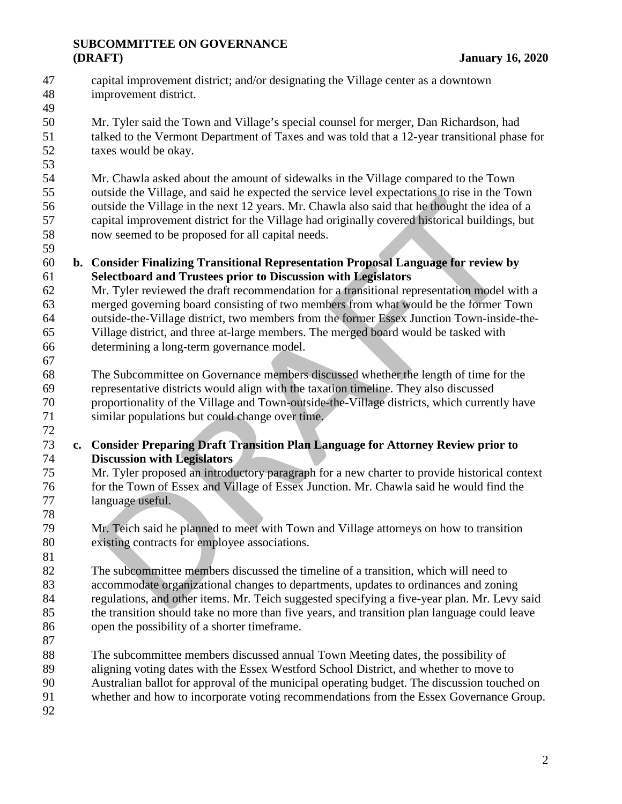# **SUBCOMMITTEE ON GOVERNANCE (DRAFT) January 16, 2020**

- capital improvement district; and/or designating the Village center as a downtown improvement district.
- 

 Mr. Tyler said the Town and Village's special counsel for merger, Dan Richardson, had talked to the Vermont Department of Taxes and was told that a 12-year transitional phase for taxes would be okay.

 Mr. Chawla asked about the amount of sidewalks in the Village compared to the Town outside the Village, and said he expected the service level expectations to rise in the Town outside the Village in the next 12 years. Mr. Chawla also said that he thought the idea of a capital improvement district for the Village had originally covered historical buildings, but now seemed to be proposed for all capital needs.

- **b. Consider Finalizing Transitional Representation Proposal Language for review by Selectboard and Trustees prior to Discussion with Legislators**
- Mr. Tyler reviewed the draft recommendation for a transitional representation model with a merged governing board consisting of two members from what would be the former Town outside-the-Village district, two members from the former Essex Junction Town-inside-the- Village district, and three at-large members. The merged board would be tasked with determining a long-term governance model.
- The Subcommittee on Governance members discussed whether the length of time for the representative districts would align with the taxation timeline. They also discussed proportionality of the Village and Town-outside-the-Village districts, which currently have similar populations but could change over time.
- **c. Consider Preparing Draft Transition Plan Language for Attorney Review prior to Discussion with Legislators**
- Mr. Tyler proposed an introductory paragraph for a new charter to provide historical context for the Town of Essex and Village of Essex Junction. Mr. Chawla said he would find the language useful.
- Mr. Teich said he planned to meet with Town and Village attorneys on how to transition existing contracts for employee associations.

 The subcommittee members discussed the timeline of a transition, which will need to accommodate organizational changes to departments, updates to ordinances and zoning regulations, and other items. Mr. Teich suggested specifying a five-year plan. Mr. Levy said the transition should take no more than five years, and transition plan language could leave open the possibility of a shorter timeframe.

- The subcommittee members discussed annual Town Meeting dates, the possibility of
- aligning voting dates with the Essex Westford School District, and whether to move to
- Australian ballot for approval of the municipal operating budget. The discussion touched on
- whether and how to incorporate voting recommendations from the Essex Governance Group.
-